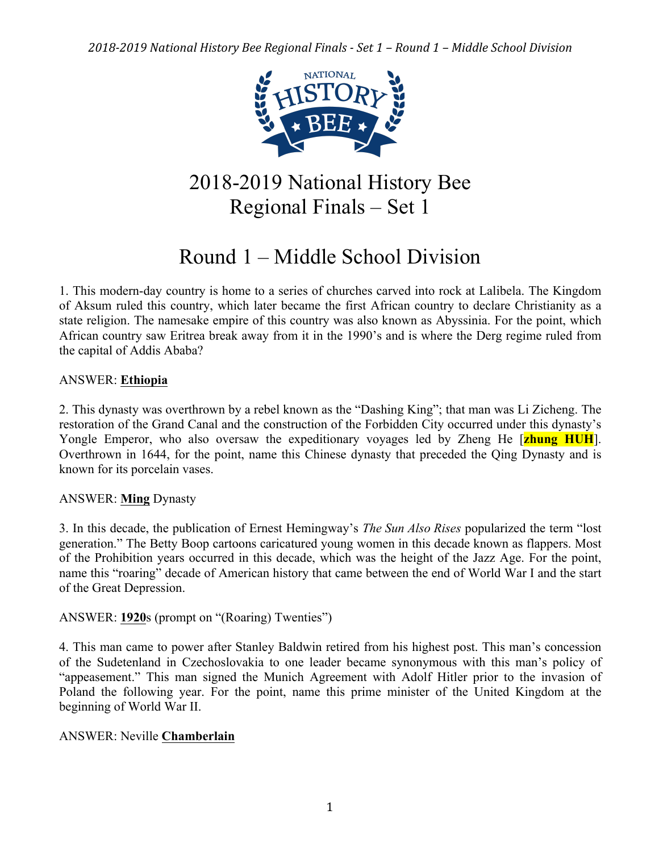

## 2018-2019 National History Bee Regional Finals – Set 1

# Round 1 – Middle School Division

1. This modern-day country is home to a series of churches carved into rock at Lalibela. The Kingdom of Aksum ruled this country, which later became the first African country to declare Christianity as a state religion. The namesake empire of this country was also known as Abyssinia. For the point, which African country saw Eritrea break away from it in the 1990's and is where the Derg regime ruled from the capital of Addis Ababa?

## ANSWER: **Ethiopia**

2. This dynasty was overthrown by a rebel known as the "Dashing King"; that man was Li Zicheng. The restoration of the Grand Canal and the construction of the Forbidden City occurred under this dynasty's Yongle Emperor, who also oversaw the expeditionary voyages led by Zheng He [**zhung HUH**]. Overthrown in 1644, for the point, name this Chinese dynasty that preceded the Qing Dynasty and is known for its porcelain vases.

## ANSWER: **Ming** Dynasty

3. In this decade, the publication of Ernest Hemingway's *The Sun Also Rises* popularized the term "lost generation." The Betty Boop cartoons caricatured young women in this decade known as flappers. Most of the Prohibition years occurred in this decade, which was the height of the Jazz Age. For the point, name this "roaring" decade of American history that came between the end of World War I and the start of the Great Depression.

## ANSWER: **1920**s (prompt on "(Roaring) Twenties")

4. This man came to power after Stanley Baldwin retired from his highest post. This man's concession of the Sudetenland in Czechoslovakia to one leader became synonymous with this man's policy of "appeasement." This man signed the Munich Agreement with Adolf Hitler prior to the invasion of Poland the following year. For the point, name this prime minister of the United Kingdom at the beginning of World War II.

## ANSWER: Neville **Chamberlain**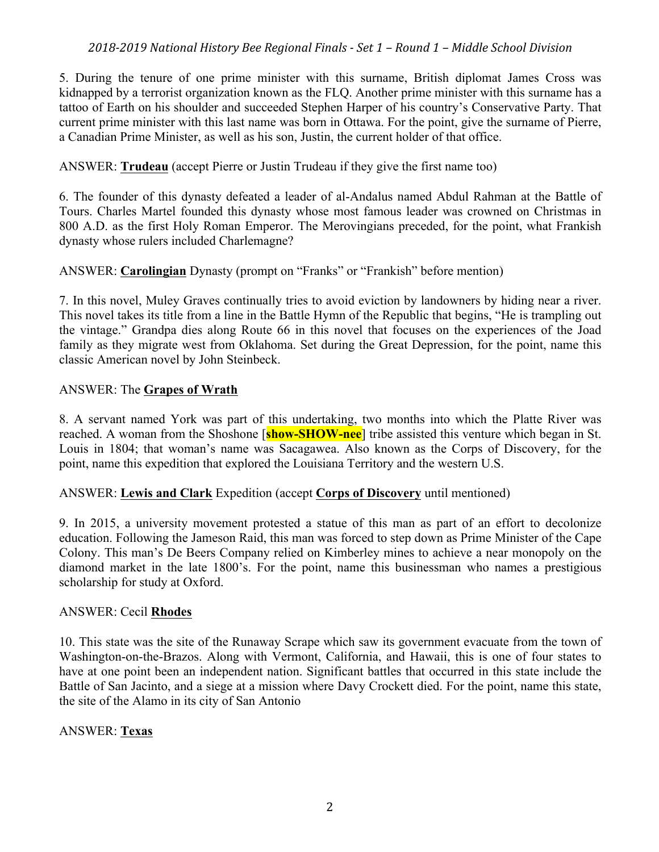5. During the tenure of one prime minister with this surname, British diplomat James Cross was kidnapped by a terrorist organization known as the FLQ. Another prime minister with this surname has a tattoo of Earth on his shoulder and succeeded Stephen Harper of his country's Conservative Party. That current prime minister with this last name was born in Ottawa. For the point, give the surname of Pierre, a Canadian Prime Minister, as well as his son, Justin, the current holder of that office.

## ANSWER: **Trudeau** (accept Pierre or Justin Trudeau if they give the first name too)

6. The founder of this dynasty defeated a leader of al-Andalus named Abdul Rahman at the Battle of Tours. Charles Martel founded this dynasty whose most famous leader was crowned on Christmas in 800 A.D. as the first Holy Roman Emperor. The Merovingians preceded, for the point, what Frankish dynasty whose rulers included Charlemagne?

## ANSWER: **Carolingian** Dynasty (prompt on "Franks" or "Frankish" before mention)

7. In this novel, Muley Graves continually tries to avoid eviction by landowners by hiding near a river. This novel takes its title from a line in the Battle Hymn of the Republic that begins, "He is trampling out the vintage." Grandpa dies along Route 66 in this novel that focuses on the experiences of the Joad family as they migrate west from Oklahoma. Set during the Great Depression, for the point, name this classic American novel by John Steinbeck.

## ANSWER: The **Grapes of Wrath**

8. A servant named York was part of this undertaking, two months into which the Platte River was reached. A woman from the Shoshone [**show-SHOW-nee**] tribe assisted this venture which began in St. Louis in 1804; that woman's name was Sacagawea. Also known as the Corps of Discovery, for the point, name this expedition that explored the Louisiana Territory and the western U.S.

## ANSWER: **Lewis and Clark** Expedition (accept **Corps of Discovery** until mentioned)

9. In 2015, a university movement protested a statue of this man as part of an effort to decolonize education. Following the Jameson Raid, this man was forced to step down as Prime Minister of the Cape Colony. This man's De Beers Company relied on Kimberley mines to achieve a near monopoly on the diamond market in the late 1800's. For the point, name this businessman who names a prestigious scholarship for study at Oxford.

## ANSWER: Cecil **Rhodes**

10. This state was the site of the Runaway Scrape which saw its government evacuate from the town of Washington-on-the-Brazos. Along with Vermont, California, and Hawaii, this is one of four states to have at one point been an independent nation. Significant battles that occurred in this state include the Battle of San Jacinto, and a siege at a mission where Davy Crockett died. For the point, name this state, the site of the Alamo in its city of San Antonio

## ANSWER: **Texas**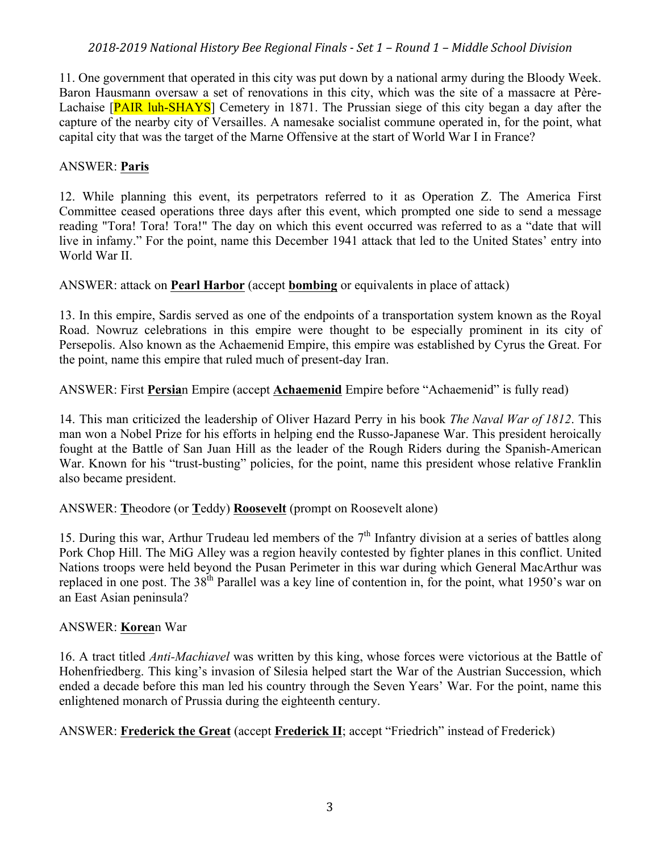11. One government that operated in this city was put down by a national army during the Bloody Week. Baron Hausmann oversaw a set of renovations in this city, which was the site of a massacre at Père-Lachaise [PAIR luh-SHAYS] Cemetery in 1871. The Prussian siege of this city began a day after the capture of the nearby city of Versailles. A namesake socialist commune operated in, for the point, what capital city that was the target of the Marne Offensive at the start of World War I in France?

## ANSWER: **Paris**

12. While planning this event, its perpetrators referred to it as Operation Z. The America First Committee ceased operations three days after this event, which prompted one side to send a message reading "Tora! Tora! Tora!" The day on which this event occurred was referred to as a "date that will live in infamy." For the point, name this December 1941 attack that led to the United States' entry into World War II.

ANSWER: attack on **Pearl Harbor** (accept **bombing** or equivalents in place of attack)

13. In this empire, Sardis served as one of the endpoints of a transportation system known as the Royal Road. Nowruz celebrations in this empire were thought to be especially prominent in its city of Persepolis. Also known as the Achaemenid Empire, this empire was established by Cyrus the Great. For the point, name this empire that ruled much of present-day Iran.

ANSWER: First **Persia**n Empire (accept **Achaemenid** Empire before "Achaemenid" is fully read)

14. This man criticized the leadership of Oliver Hazard Perry in his book *The Naval War of 1812*. This man won a Nobel Prize for his efforts in helping end the Russo-Japanese War. This president heroically fought at the Battle of San Juan Hill as the leader of the Rough Riders during the Spanish-American War. Known for his "trust-busting" policies, for the point, name this president whose relative Franklin also became president.

ANSWER: **T**heodore (or **T**eddy) **Roosevelt** (prompt on Roosevelt alone)

15. During this war, Arthur Trudeau led members of the  $7<sup>th</sup>$  Infantry division at a series of battles along Pork Chop Hill. The MiG Alley was a region heavily contested by fighter planes in this conflict. United Nations troops were held beyond the Pusan Perimeter in this war during which General MacArthur was replaced in one post. The  $38<sup>th</sup>$  Parallel was a key line of contention in, for the point, what 1950's war on an East Asian peninsula?

## ANSWER: **Korea**n War

16. A tract titled *Anti-Machiavel* was written by this king, whose forces were victorious at the Battle of Hohenfriedberg. This king's invasion of Silesia helped start the War of the Austrian Succession, which ended a decade before this man led his country through the Seven Years' War. For the point, name this enlightened monarch of Prussia during the eighteenth century.

ANSWER: **Frederick the Great** (accept **Frederick II**; accept "Friedrich" instead of Frederick)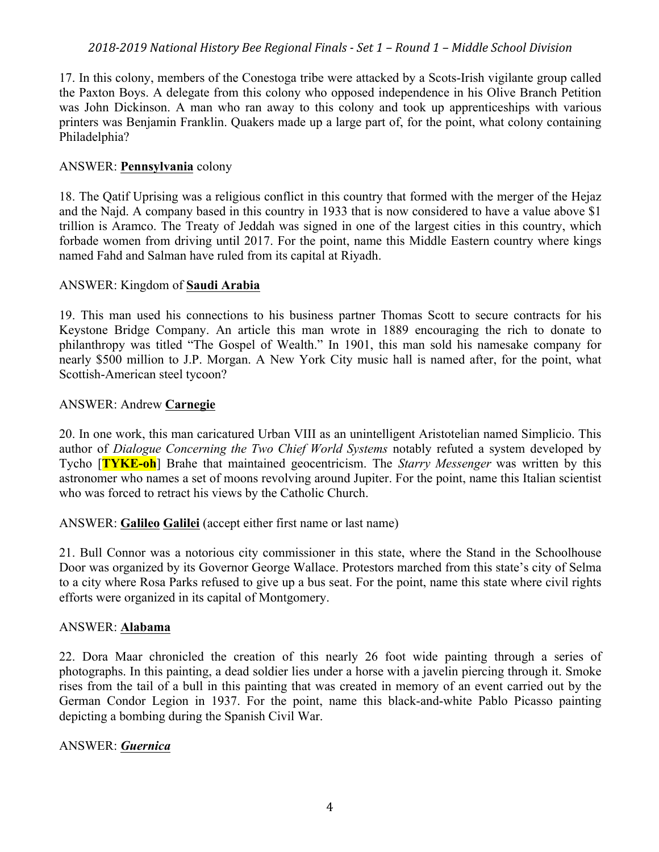17. In this colony, members of the Conestoga tribe were attacked by a Scots-Irish vigilante group called the Paxton Boys. A delegate from this colony who opposed independence in his Olive Branch Petition was John Dickinson. A man who ran away to this colony and took up apprenticeships with various printers was Benjamin Franklin. Quakers made up a large part of, for the point, what colony containing Philadelphia?

#### ANSWER: **Pennsylvania** colony

18. The Qatif Uprising was a religious conflict in this country that formed with the merger of the Hejaz and the Najd. A company based in this country in 1933 that is now considered to have a value above \$1 trillion is Aramco. The Treaty of Jeddah was signed in one of the largest cities in this country, which forbade women from driving until 2017. For the point, name this Middle Eastern country where kings named Fahd and Salman have ruled from its capital at Riyadh.

#### ANSWER: Kingdom of **Saudi Arabia**

19. This man used his connections to his business partner Thomas Scott to secure contracts for his Keystone Bridge Company. An article this man wrote in 1889 encouraging the rich to donate to philanthropy was titled "The Gospel of Wealth." In 1901, this man sold his namesake company for nearly \$500 million to J.P. Morgan. A New York City music hall is named after, for the point, what Scottish-American steel tycoon?

#### ANSWER: Andrew **Carnegie**

20. In one work, this man caricatured Urban VIII as an unintelligent Aristotelian named Simplicio. This author of *Dialogue Concerning the Two Chief World Systems* notably refuted a system developed by Tycho [**TYKE-oh**] Brahe that maintained geocentricism. The *Starry Messenger* was written by this astronomer who names a set of moons revolving around Jupiter. For the point, name this Italian scientist who was forced to retract his views by the Catholic Church.

ANSWER: **Galileo Galilei** (accept either first name or last name)

21. Bull Connor was a notorious city commissioner in this state, where the Stand in the Schoolhouse Door was organized by its Governor George Wallace. Protestors marched from this state's city of Selma to a city where Rosa Parks refused to give up a bus seat. For the point, name this state where civil rights efforts were organized in its capital of Montgomery.

#### ANSWER: **Alabama**

22. Dora Maar chronicled the creation of this nearly 26 foot wide painting through a series of photographs. In this painting, a dead soldier lies under a horse with a javelin piercing through it. Smoke rises from the tail of a bull in this painting that was created in memory of an event carried out by the German Condor Legion in 1937. For the point, name this black-and-white Pablo Picasso painting depicting a bombing during the Spanish Civil War.

## ANSWER: *Guernica*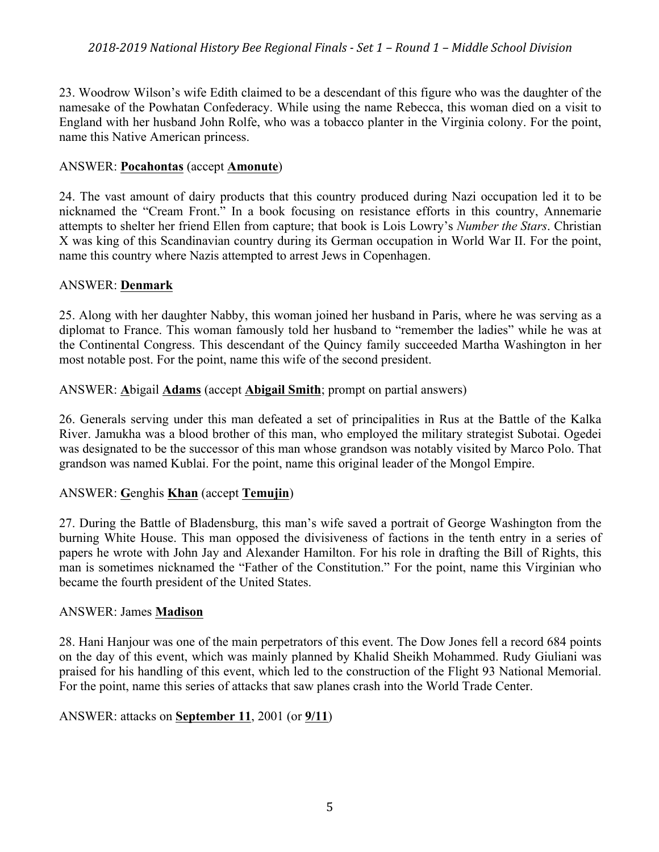23. Woodrow Wilson's wife Edith claimed to be a descendant of this figure who was the daughter of the namesake of the Powhatan Confederacy. While using the name Rebecca, this woman died on a visit to England with her husband John Rolfe, who was a tobacco planter in the Virginia colony. For the point, name this Native American princess.

#### ANSWER: **Pocahontas** (accept **Amonute**)

24. The vast amount of dairy products that this country produced during Nazi occupation led it to be nicknamed the "Cream Front." In a book focusing on resistance efforts in this country, Annemarie attempts to shelter her friend Ellen from capture; that book is Lois Lowry's *Number the Stars*. Christian X was king of this Scandinavian country during its German occupation in World War II. For the point, name this country where Nazis attempted to arrest Jews in Copenhagen.

#### ANSWER: **Denmark**

25. Along with her daughter Nabby, this woman joined her husband in Paris, where he was serving as a diplomat to France. This woman famously told her husband to "remember the ladies" while he was at the Continental Congress. This descendant of the Quincy family succeeded Martha Washington in her most notable post. For the point, name this wife of the second president.

#### ANSWER: **A**bigail **Adams** (accept **Abigail Smith**; prompt on partial answers)

26. Generals serving under this man defeated a set of principalities in Rus at the Battle of the Kalka River. Jamukha was a blood brother of this man, who employed the military strategist Subotai. Ogedei was designated to be the successor of this man whose grandson was notably visited by Marco Polo. That grandson was named Kublai. For the point, name this original leader of the Mongol Empire.

## ANSWER: **G**enghis **Khan** (accept **Temujin**)

27. During the Battle of Bladensburg, this man's wife saved a portrait of George Washington from the burning White House. This man opposed the divisiveness of factions in the tenth entry in a series of papers he wrote with John Jay and Alexander Hamilton. For his role in drafting the Bill of Rights, this man is sometimes nicknamed the "Father of the Constitution." For the point, name this Virginian who became the fourth president of the United States.

#### ANSWER: James **Madison**

28. Hani Hanjour was one of the main perpetrators of this event. The Dow Jones fell a record 684 points on the day of this event, which was mainly planned by Khalid Sheikh Mohammed. Rudy Giuliani was praised for his handling of this event, which led to the construction of the Flight 93 National Memorial. For the point, name this series of attacks that saw planes crash into the World Trade Center.

## ANSWER: attacks on **September 11**, 2001 (or **9/11**)